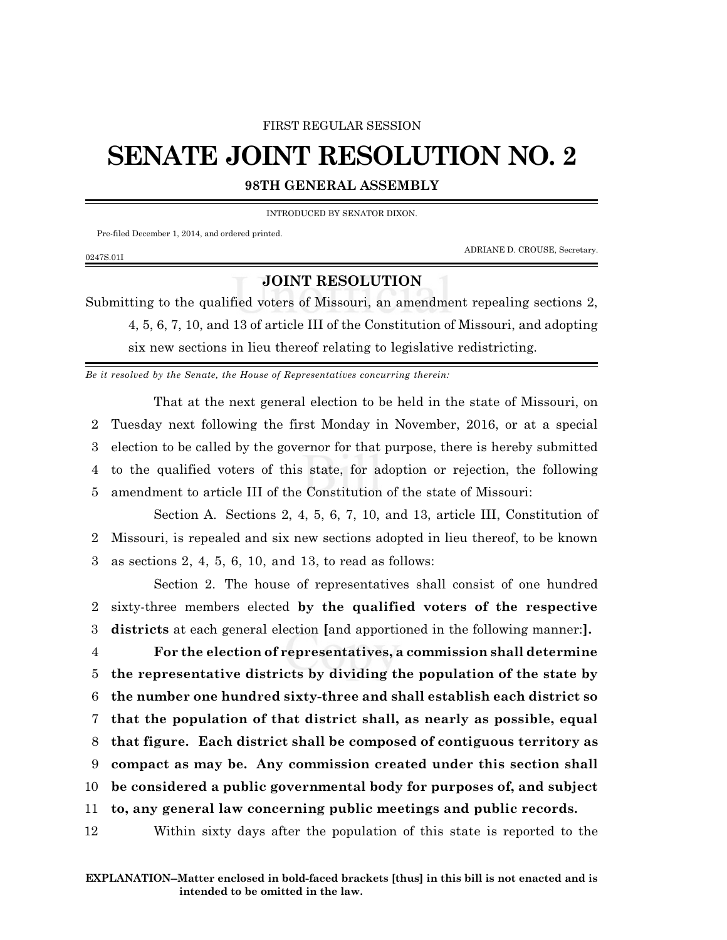### FIRST REGULAR SESSION

# **SENATE JOINT RESOLUTION NO. 2**

**98TH GENERAL ASSEMBLY**

INTRODUCED BY SENATOR DIXON.

Pre-filed December 1, 2014, and ordered printed.

ADRIANE D. CROUSE, Secretary.

#### 0247S.01I

# **JOINT RESOLUTION**

Submitting to the qualified voters of Missouri, an amendment repealing sections 2, 4, 5, 6, 7, 10, and 13 of article III of the Constitution of Missouri, and adopting six new sections in lieu thereof relating to legislative redistricting.

*Be it resolved by the Senate, the House of Representatives concurring therein:*

That at the next general election to be held in the state of Missouri, on Tuesday next following the first Monday in November, 2016, or at a special election to be called by the governor for that purpose, there is hereby submitted to the qualified voters of this state, for adoption or rejection, the following amendment to article III of the Constitution of the state of Missouri:

Section A. Sections 2, 4, 5, 6, 7, 10, and 13, article III, Constitution of 2 Missouri, is repealed and six new sections adopted in lieu thereof, to be known 3 as sections 2, 4, 5, 6, 10, and 13, to read as follows:

Section 2. The house of representatives shall consist of one hundred 2 sixty-three members elected **by the qualified voters of the respective** 3 **districts** at each general election **[**and apportioned in the following manner:**].**

 **For the election of representatives, a commission shall determine the representative districts by dividing the population of the state by the number one hundred sixty-three and shall establish each district so that the population of that district shall, as nearly as possible, equal that figure. Each district shall be composed of contiguous territory as compact as may be. Any commission created under this section shall be considered a public governmental body for purposes of, and subject to, any general law concerning public meetings and public records.**

12 Within sixty days after the population of this state is reported to the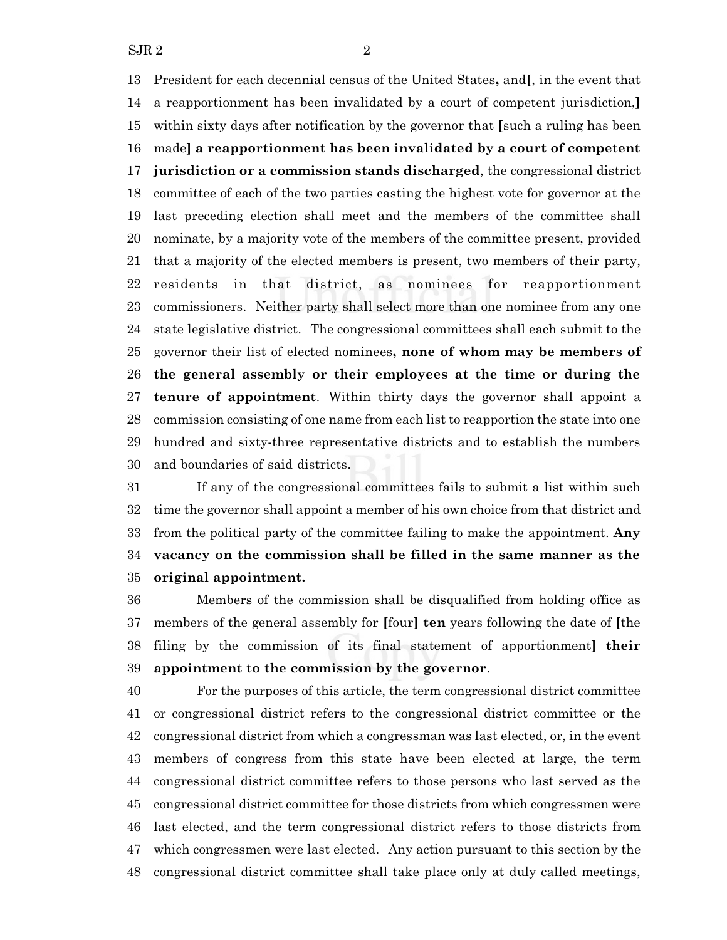President for each decennial census of the United States**,** and**[**, in the event that a reapportionment has been invalidated by a court of competent jurisdiction,**]** within sixty days after notification by the governor that **[**such a ruling has been made**] a reapportionment has been invalidated by a court of competent jurisdiction or a commission stands discharged**, the congressional district committee of each of the two parties casting the highest vote for governor at the last preceding election shall meet and the members of the committee shall nominate, by a majority vote of the members of the committee present, provided that a majority of the elected members is present, two members of their party, residents in that district, as nominees for reapportionment commissioners. Neither party shall select more than one nominee from any one state legislative district. The congressional committees shall each submit to the governor their list of elected nominees**, none of whom may be members of the general assembly or their employees at the time or during the tenure of appointment**. Within thirty days the governor shall appoint a commission consisting of one name from each list to reapportion the state into one hundred and sixty-three representative districts and to establish the numbers and boundaries of said districts.

 If any of the congressional committees fails to submit a list within such time the governor shall appoint a member of his own choice from that district and from the political party of the committee failing to make the appointment. **Any vacancy on the commission shall be filled in the same manner as the original appointment.**

 Members of the commission shall be disqualified from holding office as members of the general assembly for **[**four**] ten** years following the date of **[**the filing by the commission of its final statement of apportionment**] their appointment to the commission by the governor**.

 For the purposes of this article, the term congressional district committee or congressional district refers to the congressional district committee or the congressional district from which a congressman was last elected, or, in the event members of congress from this state have been elected at large, the term congressional district committee refers to those persons who last served as the congressional district committee for those districts from which congressmen were last elected, and the term congressional district refers to those districts from which congressmen were last elected. Any action pursuant to this section by the congressional district committee shall take place only at duly called meetings,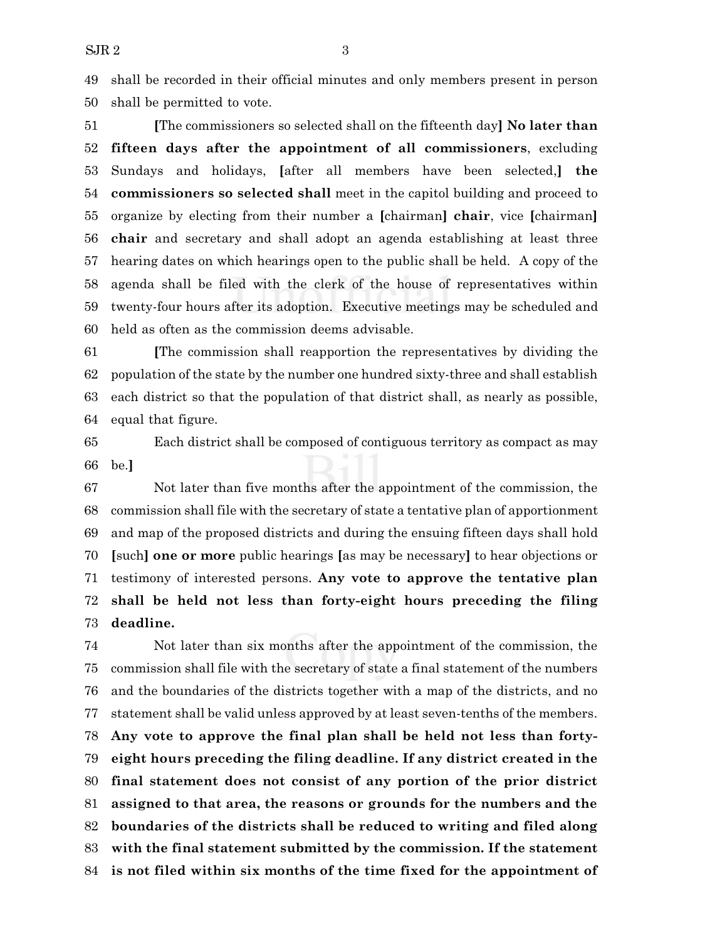shall be recorded in their official minutes and only members present in person shall be permitted to vote.

 **[**The commissioners so selected shall on the fifteenth day**] No later than fifteen days after the appointment of all commissioners**, excluding Sundays and holidays, **[**after all members have been selected,**] the commissioners so selected shall** meet in the capitol building and proceed to organize by electing from their number a **[**chairman**] chair**, vice **[**chairman**] chair** and secretary and shall adopt an agenda establishing at least three hearing dates on which hearings open to the public shall be held. A copy of the agenda shall be filed with the clerk of the house of representatives within twenty-four hours after its adoption. Executive meetings may be scheduled and held as often as the commission deems advisable.

 **[**The commission shall reapportion the representatives by dividing the population of the state by the number one hundred sixty-three and shall establish each district so that the population of that district shall, as nearly as possible, equal that figure.

 Each district shall be composed of contiguous territory as compact as may be.**]**

 Not later than five months after the appointment of the commission, the commission shall file with the secretary of state a tentative plan of apportionment and map of the proposed districts and during the ensuing fifteen days shall hold **[**such**] one or more** public hearings **[**as may be necessary**]** to hear objections or testimony of interested persons. **Any vote to approve the tentative plan shall be held not less than forty-eight hours preceding the filing deadline.**

 Not later than six months after the appointment of the commission, the commission shall file with the secretary of state a final statement of the numbers and the boundaries of the districts together with a map of the districts, and no statement shall be valid unless approved by at least seven-tenths of the members. **Any vote to approve the final plan shall be held not less than forty- eight hours preceding the filing deadline. If any district created in the final statement does not consist of any portion of the prior district assigned to that area, the reasons or grounds for the numbers and the boundaries of the districts shall be reduced to writing and filed along with the final statement submitted by the commission. If the statement is not filed within six months of the time fixed for the appointment of**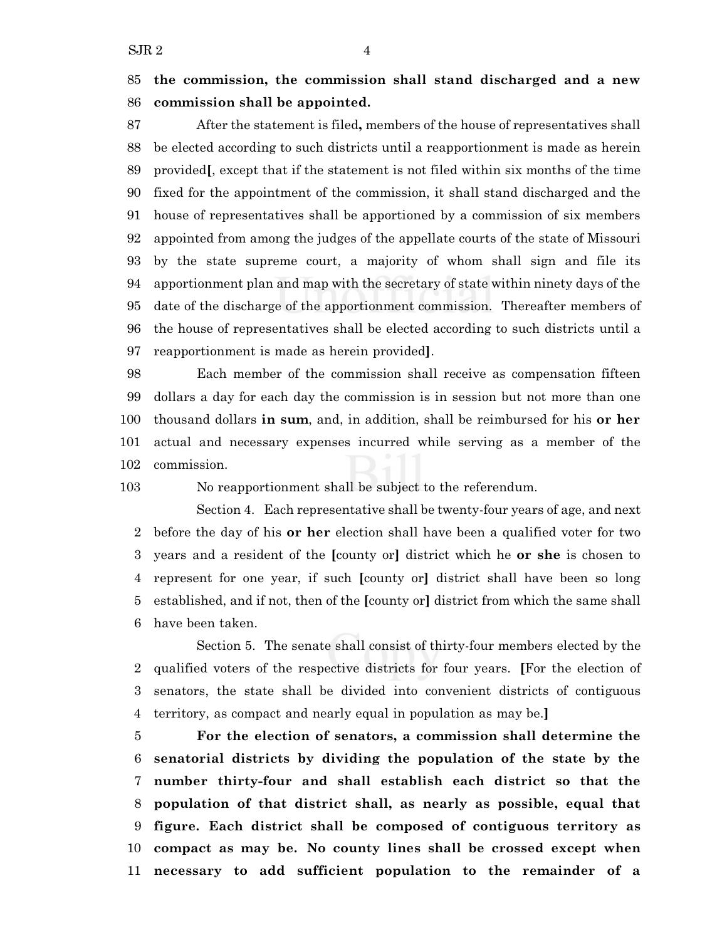After the statement is filed**,** members of the house of representatives shall be elected according to such districts until a reapportionment is made as herein provided**[**, except that if the statement is not filed within six months of the time fixed for the appointment of the commission, it shall stand discharged and the house of representatives shall be apportioned by a commission of six members appointed from among the judges of the appellate courts of the state of Missouri by the state supreme court, a majority of whom shall sign and file its apportionment plan and map with the secretary of state within ninety days of the date of the discharge of the apportionment commission. Thereafter members of the house of representatives shall be elected according to such districts until a reapportionment is made as herein provided**]**.

 Each member of the commission shall receive as compensation fifteen dollars a day for each day the commission is in session but not more than one thousand dollars **in sum**, and, in addition, shall be reimbursed for his **or her** actual and necessary expenses incurred while serving as a member of the commission.

No reapportionment shall be subject to the referendum.

Section 4. Each representative shall be twenty-four years of age, and next before the day of his **or her** election shall have been a qualified voter for two years and a resident of the **[**county or**]** district which he **or she** is chosen to represent for one year, if such **[**county or**]** district shall have been so long established, and if not, then of the **[**county or**]** district from which the same shall have been taken.

Section 5. The senate shall consist of thirty-four members elected by the qualified voters of the respective districts for four years. **[**For the election of senators, the state shall be divided into convenient districts of contiguous territory, as compact and nearly equal in population as may be.**]**

 **For the election of senators, a commission shall determine the senatorial districts by dividing the population of the state by the number thirty-four and shall establish each district so that the population of that district shall, as nearly as possible, equal that figure. Each district shall be composed of contiguous territory as compact as may be. No county lines shall be crossed except when necessary to add sufficient population to the remainder of a**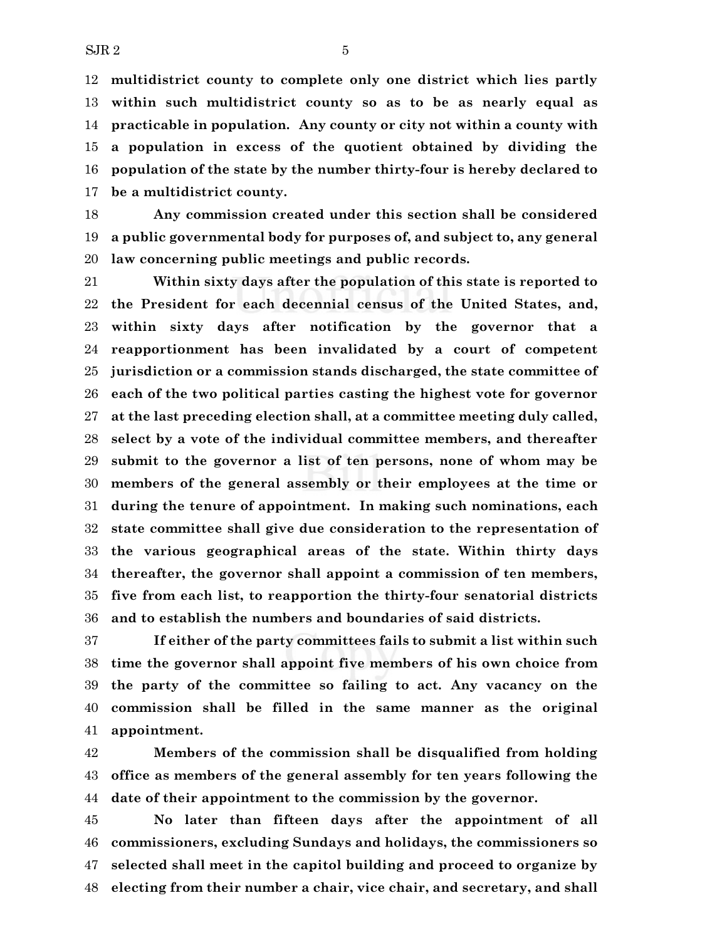**multidistrict county to complete only one district which lies partly within such multidistrict county so as to be as nearly equal as practicable in population. Any county or city not within a county with a population in excess of the quotient obtained by dividing the population of the state by the number thirty-four is hereby declared to be a multidistrict county.**

 **Any commission created under this section shall be considered a public governmental body for purposes of, and subject to, any general law concerning public meetings and public records.**

 **Within sixty days after the population of this state is reported to the President for each decennial census of the United States, and, within sixty days after notification by the governor that a reapportionment has been invalidated by a court of competent jurisdiction or a commission stands discharged, the state committee of each of the two political parties casting the highest vote for governor at the last preceding election shall, at a committee meeting duly called, select by a vote of the individual committee members, and thereafter submit to the governor a list of ten persons, none of whom may be members of the general assembly or their employees at the time or during the tenure of appointment. In making such nominations, each state committee shall give due consideration to the representation of the various geographical areas of the state. Within thirty days thereafter, the governor shall appoint a commission of ten members, five from each list, to reapportion the thirty-four senatorial districts and to establish the numbers and boundaries of said districts.**

 **If either of the party committees fails to submit a list within such time the governor shall appoint five members of his own choice from the party of the committee so failing to act. Any vacancy on the commission shall be filled in the same manner as the original appointment.**

 **Members of the commission shall be disqualified from holding office as members of the general assembly for ten years following the date of their appointment to the commission by the governor.**

 **No later than fifteen days after the appointment of all commissioners, excluding Sundays and holidays, the commissioners so selected shall meet in the capitol building and proceed to organize by electing from their number a chair, vice chair, and secretary, and shall**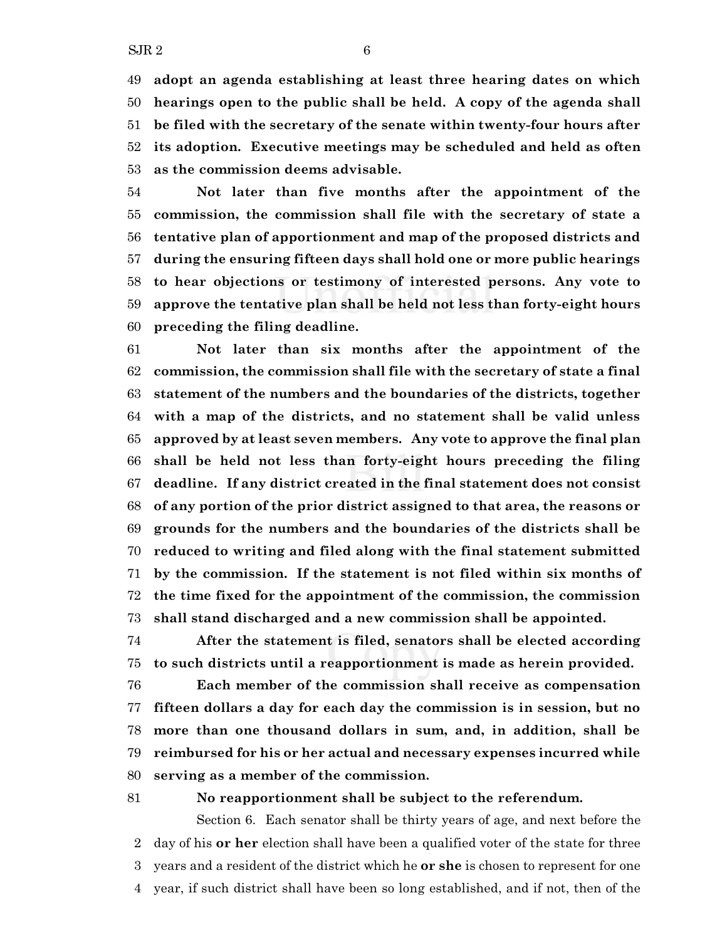**adopt an agenda establishing at least three hearing dates on which hearings open to the public shall be held. A copy of the agenda shall be filed with the secretary of the senate within twenty-four hours after its adoption. Executive meetings may be scheduled and held as often as the commission deems advisable.**

 **Not later than five months after the appointment of the commission, the commission shall file with the secretary of state a tentative plan of apportionment and map of the proposed districts and during the ensuring fifteen days shall hold one or more public hearings to hear objections or testimony of interested persons. Any vote to approve the tentative plan shall be held not less than forty-eight hours preceding the filing deadline.**

 **Not later than six months after the appointment of the commission, the commission shall file with the secretary of state a final statement of the numbers and the boundaries of the districts, together with a map of the districts, and no statement shall be valid unless approved by at least seven members. Any vote to approve the final plan shall be held not less than forty-eight hours preceding the filing deadline. If any district created in the final statement does not consist of any portion of the prior district assigned to that area, the reasons or grounds for the numbers and the boundaries of the districts shall be reduced to writing and filed along with the final statement submitted by the commission. If the statement is not filed within six months of the time fixed for the appointment of the commission, the commission shall stand discharged and a new commission shall be appointed.**

 **After the statement is filed, senators shall be elected according to such districts until a reapportionment is made as herein provided.**

 **Each member of the commission shall receive as compensation fifteen dollars a day for each day the commission is in session, but no more than one thousand dollars in sum, and, in addition, shall be reimbursed for his or her actual and necessary expenses incurred while serving as a member of the commission.**

## **No reapportionment shall be subject to the referendum.**

Section 6. Each senator shall be thirty years of age, and next before the

 day of his **or her** election shall have been a qualified voter of the state for three years and a resident of the district which he **or she** is chosen to represent for one year, if such district shall have been so long established, and if not, then of the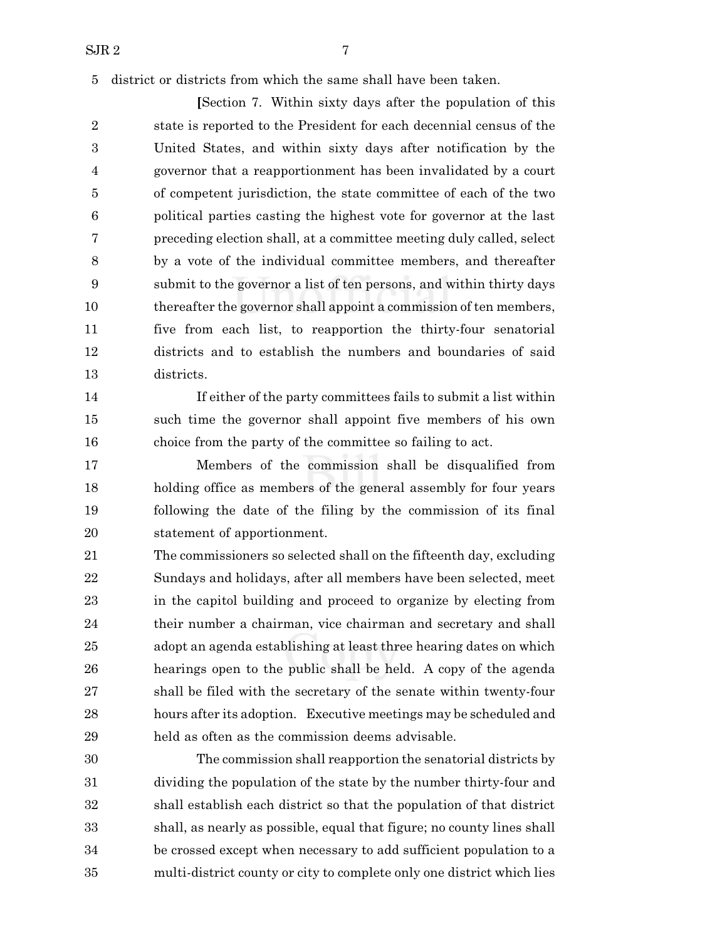district or districts from which the same shall have been taken.

**[**Section 7. Within sixty days after the population of this state is reported to the President for each decennial census of the United States, and within sixty days after notification by the governor that a reapportionment has been invalidated by a court of competent jurisdiction, the state committee of each of the two political parties casting the highest vote for governor at the last preceding election shall, at a committee meeting duly called, select by a vote of the individual committee members, and thereafter submit to the governor a list of ten persons, and within thirty days thereafter the governor shall appoint a commission of ten members, five from each list, to reapportion the thirty-four senatorial districts and to establish the numbers and boundaries of said districts.

 If either of the party committees fails to submit a list within such time the governor shall appoint five members of his own choice from the party of the committee so failing to act.

 Members of the commission shall be disqualified from holding office as members of the general assembly for four years following the date of the filing by the commission of its final statement of apportionment.

 The commissioners so selected shall on the fifteenth day, excluding Sundays and holidays, after all members have been selected, meet in the capitol building and proceed to organize by electing from their number a chairman, vice chairman and secretary and shall adopt an agenda establishing at least three hearing dates on which hearings open to the public shall be held. A copy of the agenda shall be filed with the secretary of the senate within twenty-four hours after its adoption. Executive meetings may be scheduled and held as often as the commission deems advisable.

 The commission shall reapportion the senatorial districts by dividing the population of the state by the number thirty-four and shall establish each district so that the population of that district shall, as nearly as possible, equal that figure; no county lines shall be crossed except when necessary to add sufficient population to a multi-district county or city to complete only one district which lies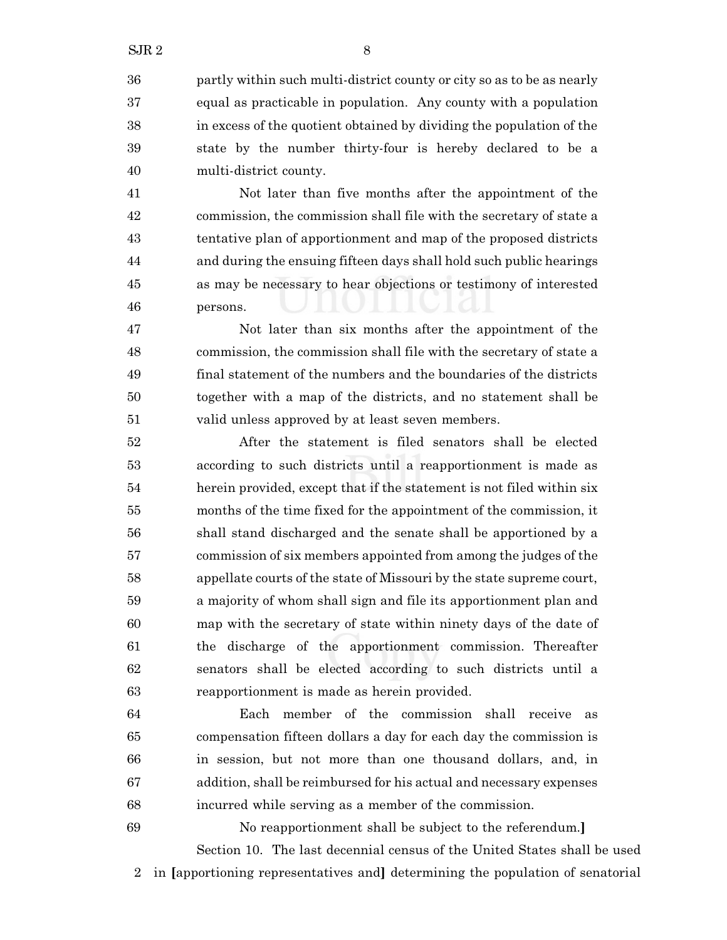partly within such multi-district county or city so as to be as nearly equal as practicable in population. Any county with a population in excess of the quotient obtained by dividing the population of the state by the number thirty-four is hereby declared to be a multi-district county.

 Not later than five months after the appointment of the commission, the commission shall file with the secretary of state a tentative plan of apportionment and map of the proposed districts and during the ensuing fifteen days shall hold such public hearings as may be necessary to hear objections or testimony of interested persons.

 Not later than six months after the appointment of the commission, the commission shall file with the secretary of state a final statement of the numbers and the boundaries of the districts together with a map of the districts, and no statement shall be valid unless approved by at least seven members.

 After the statement is filed senators shall be elected according to such districts until a reapportionment is made as herein provided, except that if the statement is not filed within six months of the time fixed for the appointment of the commission, it shall stand discharged and the senate shall be apportioned by a commission of six members appointed from among the judges of the appellate courts of the state of Missouri by the state supreme court, a majority of whom shall sign and file its apportionment plan and map with the secretary of state within ninety days of the date of the discharge of the apportionment commission. Thereafter senators shall be elected according to such districts until a reapportionment is made as herein provided.

 Each member of the commission shall receive as compensation fifteen dollars a day for each day the commission is in session, but not more than one thousand dollars, and, in addition, shall be reimbursed for his actual and necessary expenses incurred while serving as a member of the commission.

No reapportionment shall be subject to the referendum.**]**

Section 10. The last decennial census of the United States shall be used in **[**apportioning representatives and**]** determining the population of senatorial